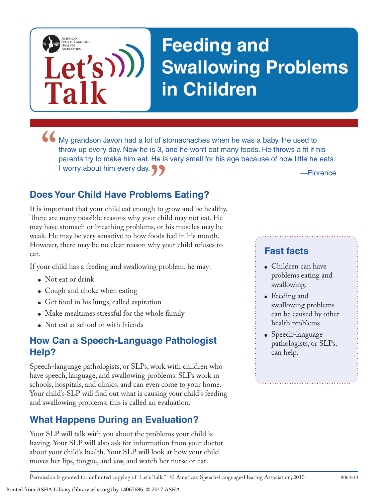

# **Feeding and Swallowing Problems in Children**

**IMy grandson Javon had a lot of stomachaches when he was a baby. He used to throw up every day. Now he is 3, and he won't eat many foods. He throws a fit if he parents try to make him eat. He is very small for his age bec PP** — Florence<br> **lems Eating?**<br>
th to grow and be healthy. throw up every day. Now he is 3, and he won't eat many foods. He throws a fit if his parents try to make him eat. He is very small for his age because of how little he eats. I worry about him every day.

## **Does Your Child Have Problems Eating?**

It is important that your child eat enough to grow and be healthy. There are many possible reasons why your child may not eat. He may have stomach or breathing problems, or his muscles may be weak. He may be very sensitive to how foods feel in his mouth. However, there may be no clear reason why your child refuses to eat.

If your child has a feeding and swallowing problem, he may:

- Not eat or drink
- Cough and choke when eating
- Get food in his lungs, called aspiration
- Make mealtimes stressful for the whole family
- Not eat at school or with friends

#### **How Can a Speech-Language Pathologist Help?**

Speech-language pathologists, or SLPs, work with children who have speech, language, and swallowing problems. SLPs work in schools, hospitals, and clinics, and can even come to your home. Your child's SLP will find out what is causing your child's feeding and swallowing problems; this is called an evaluation.

## **What Happens During an Evaluation?**

Your SLP will talk with you about the problems your child is having. Your SLP will also ask for information from your doctor about your child's health. Your SLP will look at how your child moves her lips, tongue, and jaw, and watch her nurse or eat.

#### **Fast facts**

- Children can have problems eating and swallowing.
- Feeding and swallowing problems can be caused by other health problems.
- Speech-language pathologists, or SLPs, can help.

Permission is granted for unlimited copying of "Let's Talk." © American Speech-Language-Hearing Association, 2010 8064-14